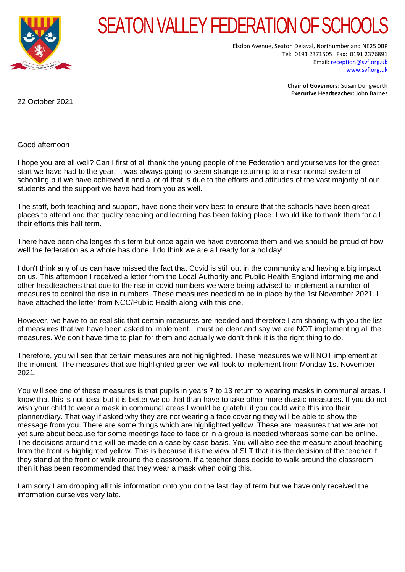

## SEATON VALLEY FEDERATION OF SCHOOL

Elsdon Avenue, Seaton Delaval, Northumberland NE25 0BP Tel: 0191 2371505 Fax: 0191 2376891 Email[: reception@svf.org.uk](mailto:reception@svf.org.uk) [www.svf.org.uk](http://www.svf.org.uk/)

> **Chair of Governors:** Susan Dungworth **Executive Headteacher:** John Barnes

22 October 2021

Good afternoon

I hope you are all well? Can I first of all thank the young people of the Federation and yourselves for the great start we have had to the year. It was always going to seem strange returning to a near normal system of schooling but we have achieved it and a lot of that is due to the efforts and attitudes of the vast majority of our students and the support we have had from you as well.

The staff, both teaching and support, have done their very best to ensure that the schools have been great places to attend and that quality teaching and learning has been taking place. I would like to thank them for all their efforts this half term.

There have been challenges this term but once again we have overcome them and we should be proud of how well the federation as a whole has done. I do think we are all ready for a holiday!

I don't think any of us can have missed the fact that Covid is still out in the community and having a big impact on us. This afternoon I received a letter from the Local Authority and Public Health England informing me and other headteachers that due to the rise in covid numbers we were being advised to implement a number of measures to control the rise in numbers. These measures needed to be in place by the 1st November 2021. I have attached the letter from NCC/Public Health along with this one.

However, we have to be realistic that certain measures are needed and therefore I am sharing with you the list of measures that we have been asked to implement. I must be clear and say we are NOT implementing all the measures. We don't have time to plan for them and actually we don't think it is the right thing to do.

Therefore, you will see that certain measures are not highlighted. These measures we will NOT implement at the moment. The measures that are highlighted green we will look to implement from Monday 1st November 2021.

You will see one of these measures is that pupils in years 7 to 13 return to wearing masks in communal areas. I know that this is not ideal but it is better we do that than have to take other more drastic measures. If you do not wish your child to wear a mask in communal areas I would be grateful if you could write this into their planner/diary. That way if asked why they are not wearing a face covering they will be able to show the message from you. There are some things which are highlighted yellow. These are measures that we are not yet sure about because for some meetings face to face or in a group is needed whereas some can be online. The decisions around this will be made on a case by case basis. You will also see the measure about teaching from the front is highlighted yellow. This is because it is the view of SLT that it is the decision of the teacher if they stand at the front or walk around the classroom. If a teacher does decide to walk around the classroom then it has been recommended that they wear a mask when doing this.

I am sorry I am dropping all this information onto you on the last day of term but we have only received the information ourselves very late.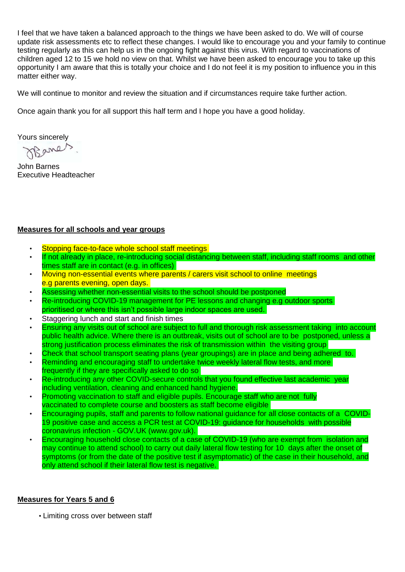I feel that we have taken a balanced approach to the things we have been asked to do. We will of course update risk assessments etc to reflect these changes. I would like to encourage you and your family to continue testing regularly as this can help us in the ongoing fight against this virus. With regard to vaccinations of children aged 12 to 15 we hold no view on that. Whilst we have been asked to encourage you to take up this opportunity I am aware that this is totally your choice and I do not feel it is my position to influence you in this matter either way.

We will continue to monitor and review the situation and if circumstances require take further action.

Once again thank you for all support this half term and I hope you have a good holiday.

Yours sincerely

OBane

John Barnes Executive Headteacher

## **Measures for all schools and year groups**

- Stopping face-to-face whole school staff meetings
- If not already in place, re-introducing social distancing between staff, including staff rooms and other times staff are in contact (e.g. in offices)
- Moving non-essential events where parents / carers visit school to online meetings e.g parents evening, open days.
- Assessing whether non-essential visits to the school should be postponed
- Re-introducing COVID-19 management for PE lessons and changing e.g outdoor sports prioritised or where this isn't possible large indoor spaces are used.
- Staggering lunch and start and finish times
- Ensuring any visits out of school are subject to full and thorough risk assessment taking into account public health advice. Where there is an outbreak, visits out of school are to be postponed, unless a strong justification process eliminates the risk of transmission within the visiting group
- Check that school transport seating plans (year groupings) are in place and being adhered to.
- Reminding and encouraging staff to undertake twice weekly lateral flow tests, and more frequently if they are specifically asked to do so
- Re-introducing any other COVID-secure controls that you found effective last academic year including ventilation, cleaning and enhanced hand hygiene.
- Promoting vaccination to staff and eligible pupils. Encourage staff who are not fully vaccinated to complete course and boosters as staff become eligible
- Encouraging pupils, staff and parents to follow national guidance for all close contacts of a COVID-19 positive case and access a PCR test at COVID-19: guidance for households with possible coronavirus infection - GOV.UK (www.gov.uk).
- Encouraging household close contacts of a case of COVID-19 (who are exempt from isolation and may continue to attend school) to carry out daily lateral flow testing for 10 days after the onset of symptoms (or from the date of the positive test if asymptomatic) of the case in their household, and only attend school if their lateral flow test is negative.

## **Measures for Years 5 and 6**

• Limiting cross over between staff